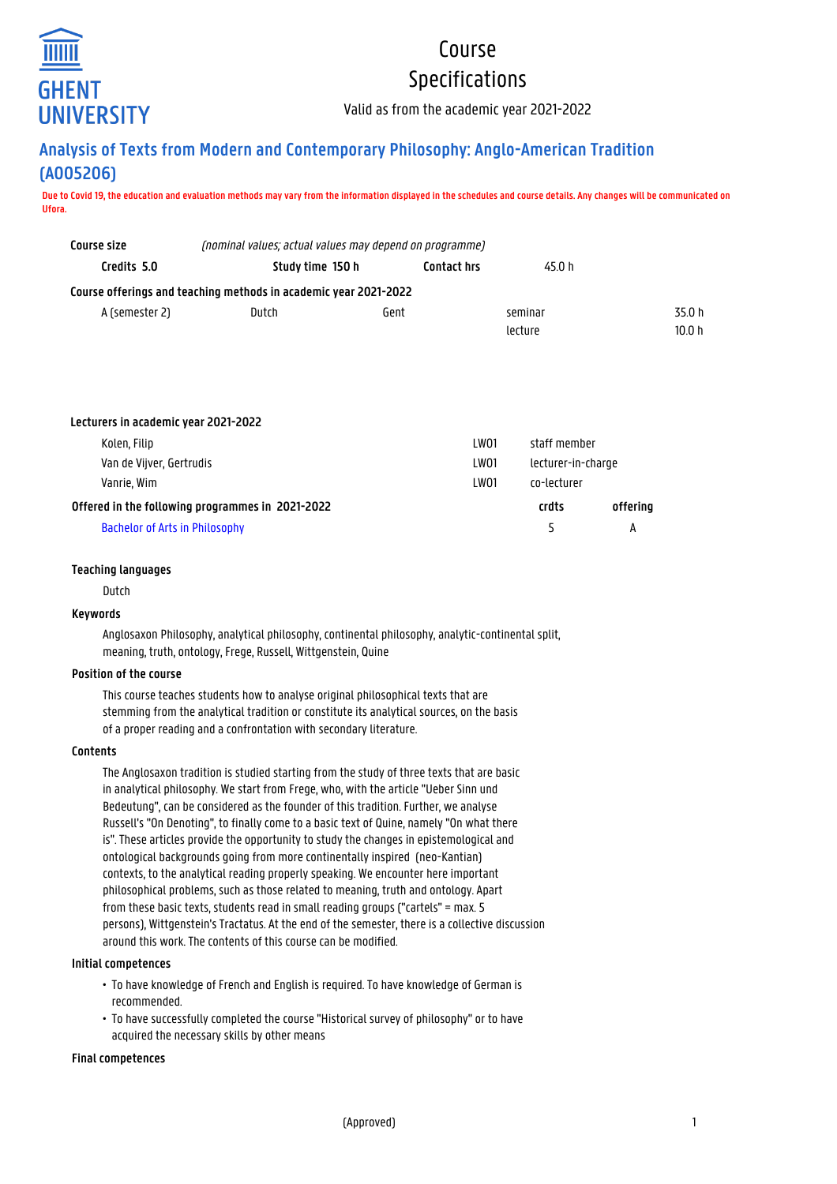

# Course

## Specifications

Valid as from the academic year 2021-2022

### **Analysis of Texts from Modern and Contemporary Philosophy: Anglo-American Tradition (A005206)**

**Due to Covid 19, the education and evaluation methods may vary from the information displayed in the schedules and course details. Any changes will be communicated on Ufora.**

| Course size    | (nominal values; actual values may depend on programme)          |             |         |        |
|----------------|------------------------------------------------------------------|-------------|---------|--------|
| Credits 5.0    | Study time 150 h                                                 | Contact hrs | 45.0 h  |        |
|                | Course offerings and teaching methods in academic year 2021-2022 |             |         |        |
| A (semester 2) | Dutch                                                            | Gent        | seminar | 35.0 h |
|                |                                                                  |             | lecture | 10.0 h |

| Lecturers in academic year 2021-2022             |      |                                                   |          |
|--------------------------------------------------|------|---------------------------------------------------|----------|
| Kolen, Filip                                     | LW01 | staff member<br>lecturer-in-charge<br>co-lecturer |          |
| Van de Vijver, Gertrudis                         | LW01 |                                                   |          |
| Vanrie, Wim                                      | LW01 |                                                   |          |
| Offered in the following programmes in 2021-2022 |      | crdts                                             | offering |
| <b>Bachelor of Arts in Philosophy</b>            |      | ς                                                 | А        |

#### **Teaching languages**

Dutch

#### **Keywords**

Anglosaxon Philosophy, analytical philosophy, continental philosophy, analytic-continental split, meaning, truth, ontology, Frege, Russell, Wittgenstein, Quine

#### **Position of the course**

This course teaches students how to analyse original philosophical texts that are stemming from the analytical tradition or constitute its analytical sources, on the basis of a proper reading and a confrontation with secondary literature.

#### **Contents**

The Anglosaxon tradition is studied starting from the study of three texts that are basic in analytical philosophy. We start from Frege, who, with the article "Ueber Sinn und Bedeutung", can be considered as the founder of this tradition. Further, we analyse Russell's "On Denoting", to finally come to a basic text of Quine, namely "On what there is". These articles provide the opportunity to study the changes in epistemological and ontological backgrounds going from more continentally inspired (neo-Kantian) contexts, to the analytical reading properly speaking. We encounter here important philosophical problems, such as those related to meaning, truth and ontology. Apart from these basic texts, students read in small reading groups ("cartels" = max. 5 persons), Wittgenstein's Tractatus. At the end of the semester, there is a collective discussion around this work. The contents of this course can be modified.

#### **Initial competences**

- To have knowledge of French and English is required. To have knowledge of German is • recommended.
- To have successfully completed the course "Historical survey of philosophy" or to have acquired the necessary skills by other means

#### **Final competences**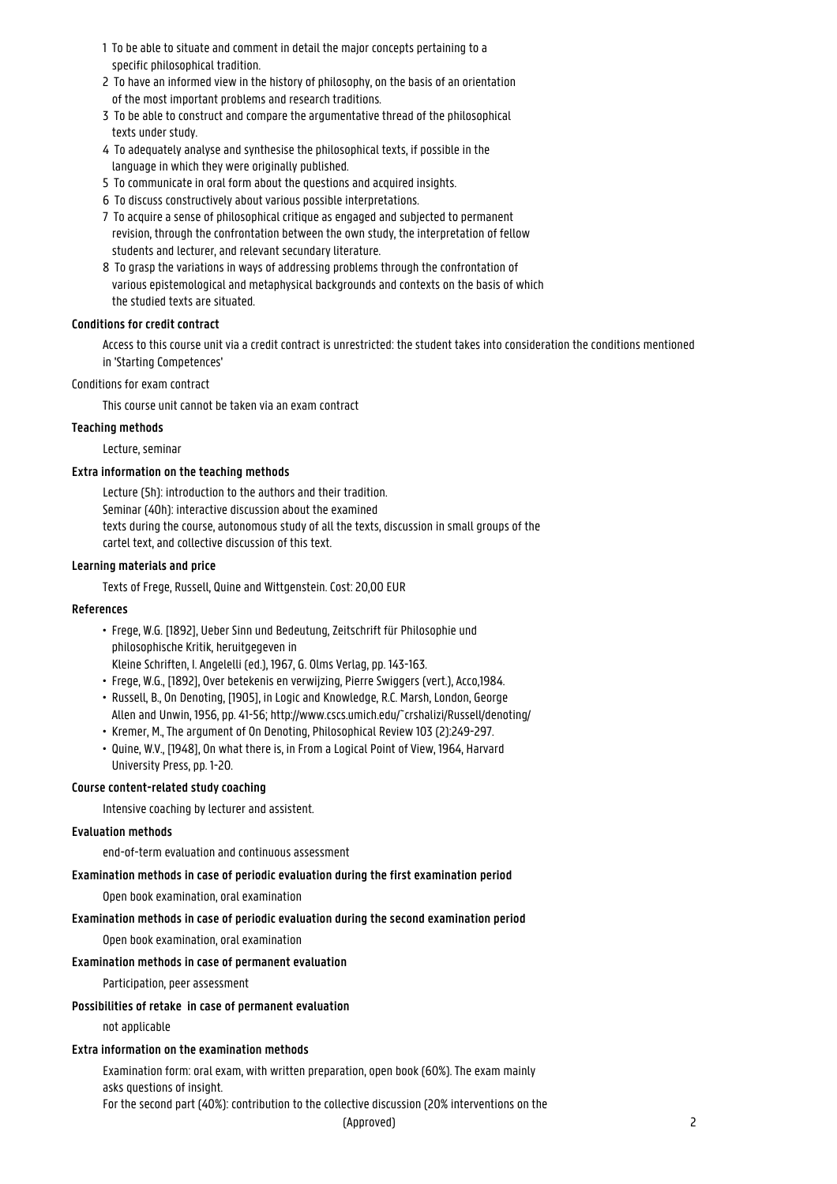- 1 To be able to situate and comment in detail the major concepts pertaining to a specific philosophical tradition.
- 2 To have an informed view in the history of philosophy, on the basis of an orientation of the most important problems and research traditions.
- 3 To be able to construct and compare the argumentative thread of the philosophical texts under study.
- 4 To adequately analyse and synthesise the philosophical texts, if possible in the language in which they were originally published.
- 5 To communicate in oral form about the questions and acquired insights.
- 6 To discuss constructively about various possible interpretations.
- 7 To acquire a sense of philosophical critique as engaged and subjected to permanent revision, through the confrontation between the own study, the interpretation of fellow students and lecturer, and relevant secundary literature.
- 8 To grasp the variations in ways of addressing problems through the confrontation of various epistemological and metaphysical backgrounds and contexts on the basis of which the studied texts are situated.

#### **Conditions for credit contract**

Access to this course unit via a credit contract is unrestricted: the student takes into consideration the conditions mentioned in 'Starting Competences'

#### Conditions for exam contract

This course unit cannot be taken via an exam contract

#### **Teaching methods**

Lecture, seminar

#### **Extra information on the teaching methods**

Lecture (5h): introduction to the authors and their tradition. Seminar (40h): interactive discussion about the examined texts during the course, autonomous study of all the texts, discussion in small groups of the cartel text, and collective discussion of this text.

#### **Learning materials and price**

Texts of Frege, Russell, Quine and Wittgenstein. Cost: 20,00 EUR

#### **References**

- Frege, W.G. [1892], Ueber Sinn und Bedeutung, Zeitschrift für Philosophie und • philosophische Kritik, heruitgegeven in • Kleine Schriften, I. Angelelli (ed.), 1967, G. Olms Verlag, pp. 143-163.
- Frege, W.G., [1892], Over betekenis en verwijzing, Pierre Swiggers (vert.), Acco,1984.
- Russell, B., On Denoting, [1905], in Logic and Knowledge, R.C. Marsh, London, George • Allen and Unwin, 1956, pp. 41-56; http://www.cscs.umich.edu/~crshalizi/Russell/denoting/
- Kremer, M., The argument of On Denoting, Philosophical Review 103 (2):249-297.
- Quine, W.V., [1948], On what there is, in From a Logical Point of View, 1964, Harvard University Press, pp. 1-20.

#### **Course content-related study coaching**

Intensive coaching by lecturer and assistent.

#### **Evaluation methods**

end-of-term evaluation and continuous assessment

#### **Examination methods in case of periodic evaluation during the first examination period**

Open book examination, oral examination

#### **Examination methods in case of periodic evaluation during the second examination period**

Open book examination, oral examination

#### **Examination methods in case of permanent evaluation**

Participation, peer assessment

#### **Possibilities of retake in case of permanent evaluation**

not applicable

#### **Extra information on the examination methods**

Examination form: oral exam, with written preparation, open book (60%). The exam mainly asks questions of insight.

For the second part (40%): contribution to the collective discussion (20% interventions on the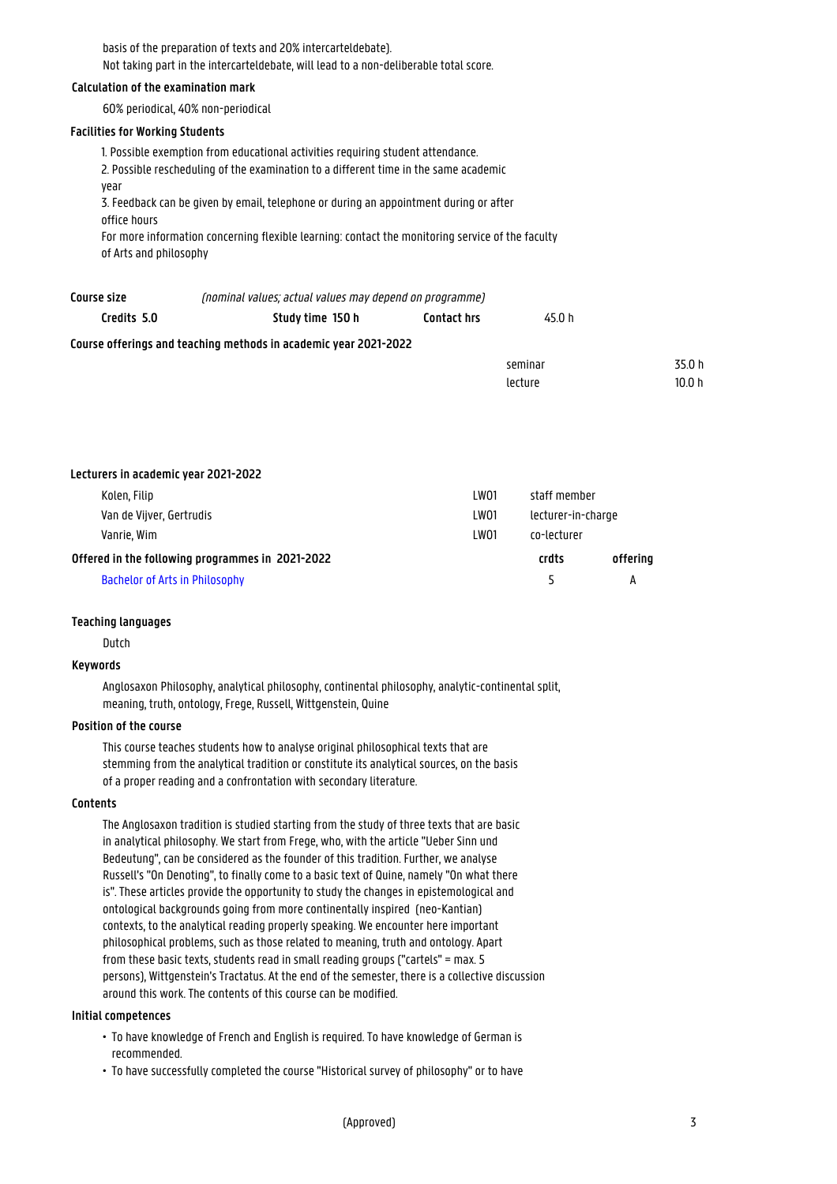basis of the preparation of texts and 20% intercarteldebate). Not taking part in the intercarteldebate, will lead to a non-deliberable total score.

#### **Calculation of the examination mark**

60% periodical, 40% non-periodical

#### **Facilities for Working Students**

1. Possible exemption from educational activities requiring student attendance. 2. Possible rescheduling of the examination to a different time in the same academic year 3. Feedback can be given by email, telephone or during an appointment during or after office hours For more information concerning flexible learning: contact the monitoring service of the faculty of Arts and philosophy

| Course size                                                      | (nominal values; actual values may depend on programme) |                    |         |  |
|------------------------------------------------------------------|---------------------------------------------------------|--------------------|---------|--|
| Credits 5.0                                                      | Study time 150 h                                        | <b>Contact hrs</b> | 45.0 h  |  |
| Course offerings and teaching methods in academic year 2021-2022 |                                                         |                    |         |  |
|                                                                  |                                                         |                    | seminar |  |

| Lecturers in academic year 2021-2022             |      |                    |          |
|--------------------------------------------------|------|--------------------|----------|
| Kolen, Filip                                     | LW01 | staff member       |          |
| Van de Vijver, Gertrudis                         | LW01 | lecturer-in-charge |          |
| Vanrie. Wim                                      | LW01 | co-lecturer        |          |
| Offered in the following programmes in 2021-2022 |      | crdts              | offering |
| <b>Bachelor of Arts in Philosophy</b>            |      |                    | A        |

#### **Teaching languages**

Dutch

#### **Keywords**

Anglosaxon Philosophy, analytical philosophy, continental philosophy, analytic-continental split, meaning, truth, ontology, Frege, Russell, Wittgenstein, Quine

#### **Position of the course**

This course teaches students how to analyse original philosophical texts that are stemming from the analytical tradition or constitute its analytical sources, on the basis of a proper reading and a confrontation with secondary literature.

#### **Contents**

The Anglosaxon tradition is studied starting from the study of three texts that are basic in analytical philosophy. We start from Frege, who, with the article "Ueber Sinn und Bedeutung", can be considered as the founder of this tradition. Further, we analyse Russell's "On Denoting", to finally come to a basic text of Quine, namely "On what there is". These articles provide the opportunity to study the changes in epistemological and ontological backgrounds going from more continentally inspired (neo-Kantian) contexts, to the analytical reading properly speaking. We encounter here important philosophical problems, such as those related to meaning, truth and ontology. Apart from these basic texts, students read in small reading groups ("cartels" = max. 5 persons), Wittgenstein's Tractatus. At the end of the semester, there is a collective discussion around this work. The contents of this course can be modified.

#### **Initial competences**

- To have knowledge of French and English is required. To have knowledge of German is • recommended.
- To have successfully completed the course "Historical survey of philosophy" or to have

 $35.0 h$ 

lecture 10.0 h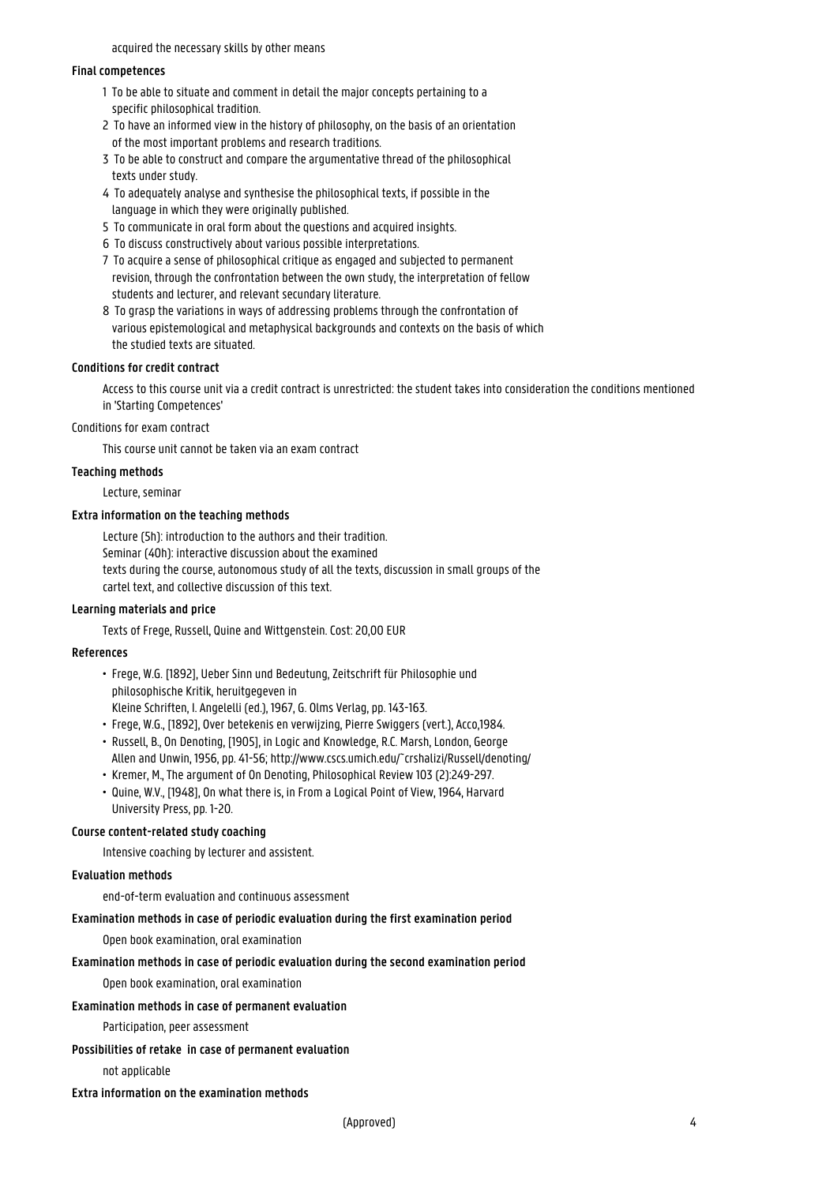#### acquired the necessary skills by other means

#### **Final competences**

- 1 To be able to situate and comment in detail the major concepts pertaining to a specific philosophical tradition.
- 2 To have an informed view in the history of philosophy, on the basis of an orientation of the most important problems and research traditions.
- 3 To be able to construct and compare the argumentative thread of the philosophical texts under study.
- 4 To adequately analyse and synthesise the philosophical texts, if possible in the language in which they were originally published.
- 5 To communicate in oral form about the questions and acquired insights.
- 6 To discuss constructively about various possible interpretations.
- 7 To acquire a sense of philosophical critique as engaged and subjected to permanent 1 revision, through the confrontation between the own study, the interpretation of fellow students and lecturer, and relevant secundary literature.
- 8 To grasp the variations in ways of addressing problems through the confrontation of various epistemological and metaphysical backgrounds and contexts on the basis of which the studied texts are situated.

#### **Conditions for credit contract**

Access to this course unit via a credit contract is unrestricted: the student takes into consideration the conditions mentioned in 'Starting Competences'

Conditions for exam contract

This course unit cannot be taken via an exam contract

#### **Teaching methods**

Lecture, seminar

#### **Extra information on the teaching methods**

Lecture (5h): introduction to the authors and their tradition. Seminar (40h): interactive discussion about the examined texts during the course, autonomous study of all the texts, discussion in small groups of the cartel text, and collective discussion of this text.

#### **Learning materials and price**

Texts of Frege, Russell, Quine and Wittgenstein. Cost: 20,00 EUR

#### **References**

- Frege, W.G. [1892], Ueber Sinn und Bedeutung, Zeitschrift für Philosophie und • philosophische Kritik, heruitgegeven in • Kleine Schriften, I. Angelelli (ed.), 1967, G. Olms Verlag, pp. 143-163.
- 
- Frege, W.G., [1892], Over betekenis en verwijzing, Pierre Swiggers (vert.), Acco,1984. • Russell, B., On Denoting, [1905], in Logic and Knowledge, R.C. Marsh, London, George • Allen and Unwin, 1956, pp. 41-56; http://www.cscs.umich.edu/~crshalizi/Russell/denoting/
- Kremer, M., The argument of On Denoting, Philosophical Review 103 (2):249-297.
- Quine, W.V., [1948], On what there is, in From a Logical Point of View, 1964, Harvard University Press, pp. 1-20.

#### **Course content-related study coaching**

Intensive coaching by lecturer and assistent.

#### **Evaluation methods**

end-of-term evaluation and continuous assessment

#### **Examination methods in case of periodic evaluation during the first examination period**

Open book examination, oral examination

#### **Examination methods in case of periodic evaluation during the second examination period**

Open book examination, oral examination

#### **Examination methods in case of permanent evaluation**

Participation, peer assessment

#### **Possibilities of retake in case of permanent evaluation**

not applicable

#### **Extra information on the examination methods**